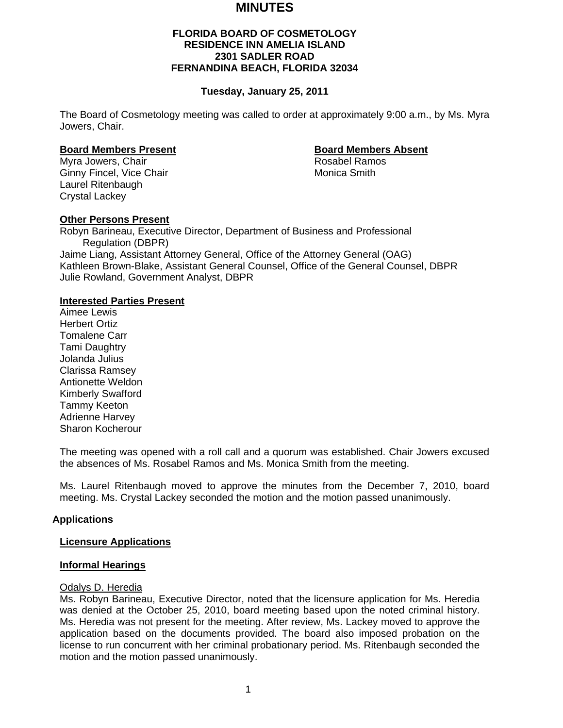# **MINUTES**

# **FLORIDA BOARD OF COSMETOLOGY RESIDENCE INN AMELIA ISLAND 2301 SADLER ROAD FERNANDINA BEACH, FLORIDA 32034**

## **Tuesday, January 25, 2011**

The Board of Cosmetology meeting was called to order at approximately 9:00 a.m., by Ms. Myra Jowers, Chair.

#### **Board Members Present Communist Communist Board Members Absent**

Myra Jowers, Chair **Rosabel Ramos** Rosabel Ramos Ginny Fincel, Vice Chair Monica Smith Laurel Ritenbaugh Crystal Lackey

#### **Other Persons Present**

Robyn Barineau, Executive Director, Department of Business and Professional Regulation (DBPR) Jaime Liang, Assistant Attorney General, Office of the Attorney General (OAG) Kathleen Brown-Blake, Assistant General Counsel, Office of the General Counsel, DBPR Julie Rowland, Government Analyst, DBPR

## **Interested Parties Present**

Aimee Lewis Herbert Ortiz Tomalene Carr Tami Daughtry Jolanda Julius Clarissa Ramsey Antionette Weldon Kimberly Swafford Tammy Keeton Adrienne Harvey Sharon Kocherour

The meeting was opened with a roll call and a quorum was established. Chair Jowers excused the absences of Ms. Rosabel Ramos and Ms. Monica Smith from the meeting.

Ms. Laurel Ritenbaugh moved to approve the minutes from the December 7, 2010, board meeting. Ms. Crystal Lackey seconded the motion and the motion passed unanimously.

#### **Applications**

#### **Licensure Applications**

#### **Informal Hearings**

#### Odalys D. Heredia

Ms. Robyn Barineau, Executive Director, noted that the licensure application for Ms. Heredia was denied at the October 25, 2010, board meeting based upon the noted criminal history. Ms. Heredia was not present for the meeting. After review, Ms. Lackey moved to approve the application based on the documents provided. The board also imposed probation on the license to run concurrent with her criminal probationary period. Ms. Ritenbaugh seconded the motion and the motion passed unanimously.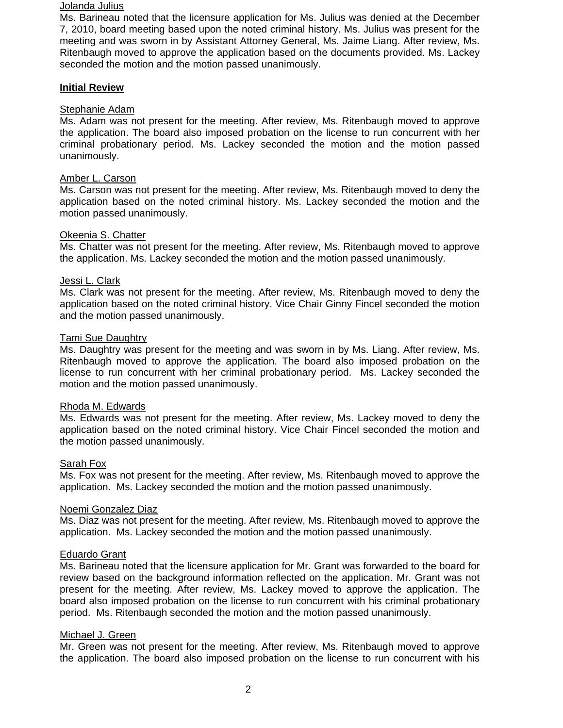## Jolanda Julius

Ms. Barineau noted that the licensure application for Ms. Julius was denied at the December 7, 2010, board meeting based upon the noted criminal history. Ms. Julius was present for the meeting and was sworn in by Assistant Attorney General, Ms. Jaime Liang. After review, Ms. Ritenbaugh moved to approve the application based on the documents provided. Ms. Lackey seconded the motion and the motion passed unanimously.

#### **Initial Review**

#### Stephanie Adam

Ms. Adam was not present for the meeting. After review, Ms. Ritenbaugh moved to approve the application. The board also imposed probation on the license to run concurrent with her criminal probationary period. Ms. Lackey seconded the motion and the motion passed unanimously.

## Amber L. Carson

Ms. Carson was not present for the meeting. After review, Ms. Ritenbaugh moved to deny the application based on the noted criminal history. Ms. Lackey seconded the motion and the motion passed unanimously.

#### Okeenia S. Chatter

Ms. Chatter was not present for the meeting. After review, Ms. Ritenbaugh moved to approve the application. Ms. Lackey seconded the motion and the motion passed unanimously.

# Jessi L. Clark

Ms. Clark was not present for the meeting. After review, Ms. Ritenbaugh moved to deny the application based on the noted criminal history. Vice Chair Ginny Fincel seconded the motion and the motion passed unanimously.

#### Tami Sue Daughtry

Ms. Daughtry was present for the meeting and was sworn in by Ms. Liang. After review, Ms. Ritenbaugh moved to approve the application. The board also imposed probation on the license to run concurrent with her criminal probationary period. Ms. Lackey seconded the motion and the motion passed unanimously.

#### Rhoda M. Edwards

Ms. Edwards was not present for the meeting. After review, Ms. Lackey moved to deny the application based on the noted criminal history. Vice Chair Fincel seconded the motion and the motion passed unanimously.

#### Sarah Fox

Ms. Fox was not present for the meeting. After review, Ms. Ritenbaugh moved to approve the application. Ms. Lackey seconded the motion and the motion passed unanimously.

#### Noemi Gonzalez Diaz

Ms. Diaz was not present for the meeting. After review, Ms. Ritenbaugh moved to approve the application. Ms. Lackey seconded the motion and the motion passed unanimously.

#### Eduardo Grant

Ms. Barineau noted that the licensure application for Mr. Grant was forwarded to the board for review based on the background information reflected on the application. Mr. Grant was not present for the meeting. After review, Ms. Lackey moved to approve the application. The board also imposed probation on the license to run concurrent with his criminal probationary period. Ms. Ritenbaugh seconded the motion and the motion passed unanimously.

## Michael J. Green

Mr. Green was not present for the meeting. After review, Ms. Ritenbaugh moved to approve the application. The board also imposed probation on the license to run concurrent with his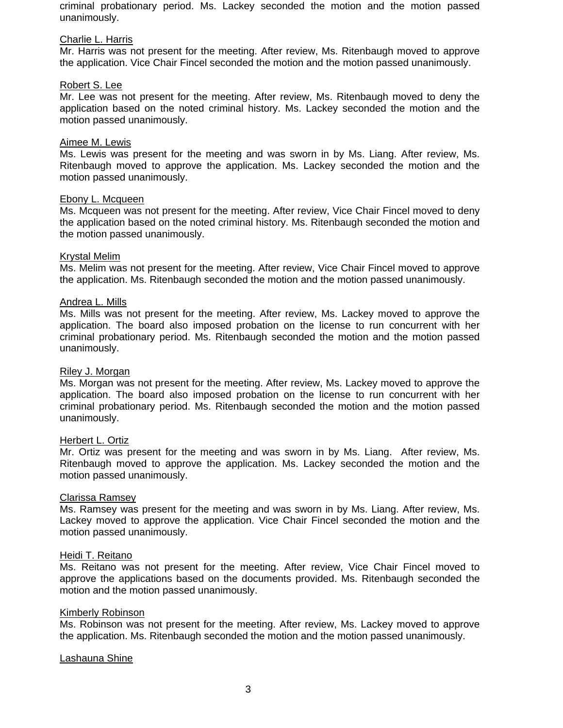criminal probationary period. Ms. Lackey seconded the motion and the motion passed unanimously.

#### Charlie L. Harris

Mr. Harris was not present for the meeting. After review, Ms. Ritenbaugh moved to approve the application. Vice Chair Fincel seconded the motion and the motion passed unanimously.

#### Robert S. Lee

Mr. Lee was not present for the meeting. After review, Ms. Ritenbaugh moved to deny the application based on the noted criminal history. Ms. Lackey seconded the motion and the motion passed unanimously.

#### Aimee M. Lewis

Ms. Lewis was present for the meeting and was sworn in by Ms. Liang. After review, Ms. Ritenbaugh moved to approve the application. Ms. Lackey seconded the motion and the motion passed unanimously.

#### Ebony L. Mcqueen

Ms. Mcqueen was not present for the meeting. After review, Vice Chair Fincel moved to deny the application based on the noted criminal history. Ms. Ritenbaugh seconded the motion and the motion passed unanimously.

#### Krystal Melim

Ms. Melim was not present for the meeting. After review, Vice Chair Fincel moved to approve the application. Ms. Ritenbaugh seconded the motion and the motion passed unanimously.

#### Andrea L. Mills

Ms. Mills was not present for the meeting. After review, Ms. Lackey moved to approve the application. The board also imposed probation on the license to run concurrent with her criminal probationary period. Ms. Ritenbaugh seconded the motion and the motion passed unanimously.

#### Riley J. Morgan

Ms. Morgan was not present for the meeting. After review, Ms. Lackey moved to approve the application. The board also imposed probation on the license to run concurrent with her criminal probationary period. Ms. Ritenbaugh seconded the motion and the motion passed unanimously.

#### Herbert L. Ortiz

Mr. Ortiz was present for the meeting and was sworn in by Ms. Liang. After review, Ms. Ritenbaugh moved to approve the application. Ms. Lackey seconded the motion and the motion passed unanimously.

## Clarissa Ramsey

Ms. Ramsey was present for the meeting and was sworn in by Ms. Liang. After review, Ms. Lackey moved to approve the application. Vice Chair Fincel seconded the motion and the motion passed unanimously.

#### Heidi T. Reitano

Ms. Reitano was not present for the meeting. After review, Vice Chair Fincel moved to approve the applications based on the documents provided. Ms. Ritenbaugh seconded the motion and the motion passed unanimously.

#### Kimberly Robinson

Ms. Robinson was not present for the meeting. After review, Ms. Lackey moved to approve the application. Ms. Ritenbaugh seconded the motion and the motion passed unanimously.

#### Lashauna Shine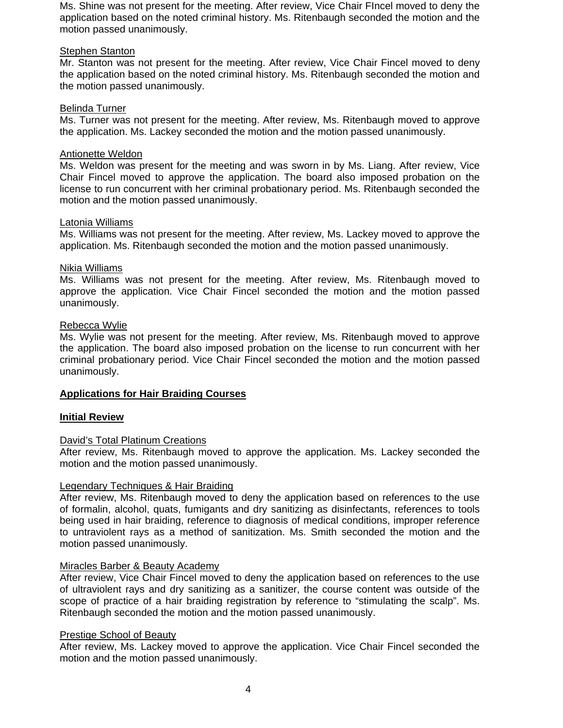Ms. Shine was not present for the meeting. After review, Vice Chair FIncel moved to deny the application based on the noted criminal history. Ms. Ritenbaugh seconded the motion and the motion passed unanimously.

## Stephen Stanton

Mr. Stanton was not present for the meeting. After review, Vice Chair Fincel moved to deny the application based on the noted criminal history. Ms. Ritenbaugh seconded the motion and the motion passed unanimously.

# Belinda Turner

Ms. Turner was not present for the meeting. After review, Ms. Ritenbaugh moved to approve the application. Ms. Lackey seconded the motion and the motion passed unanimously.

# Antionette Weldon

Ms. Weldon was present for the meeting and was sworn in by Ms. Liang. After review, Vice Chair Fincel moved to approve the application. The board also imposed probation on the license to run concurrent with her criminal probationary period. Ms. Ritenbaugh seconded the motion and the motion passed unanimously.

# Latonia Williams

Ms. Williams was not present for the meeting. After review, Ms. Lackey moved to approve the application. Ms. Ritenbaugh seconded the motion and the motion passed unanimously.

# Nikia Williams

Ms. Williams was not present for the meeting. After review, Ms. Ritenbaugh moved to approve the application. Vice Chair Fincel seconded the motion and the motion passed unanimously.

# Rebecca Wylie

Ms. Wylie was not present for the meeting. After review, Ms. Ritenbaugh moved to approve the application. The board also imposed probation on the license to run concurrent with her criminal probationary period. Vice Chair Fincel seconded the motion and the motion passed unanimously.

# **Applications for Hair Braiding Courses**

#### **Initial Review**

#### David's Total Platinum Creations

After review, Ms. Ritenbaugh moved to approve the application. Ms. Lackey seconded the motion and the motion passed unanimously.

#### Legendary Techniques & Hair Braiding

After review, Ms. Ritenbaugh moved to deny the application based on references to the use of formalin, alcohol, quats, fumigants and dry sanitizing as disinfectants, references to tools being used in hair braiding, reference to diagnosis of medical conditions, improper reference to untraviolent rays as a method of sanitization. Ms. Smith seconded the motion and the motion passed unanimously.

#### Miracles Barber & Beauty Academy

After review, Vice Chair Fincel moved to deny the application based on references to the use of ultraviolent rays and dry sanitizing as a sanitizer, the course content was outside of the scope of practice of a hair braiding registration by reference to "stimulating the scalp". Ms. Ritenbaugh seconded the motion and the motion passed unanimously.

#### Prestige School of Beauty

After review, Ms. Lackey moved to approve the application. Vice Chair Fincel seconded the motion and the motion passed unanimously.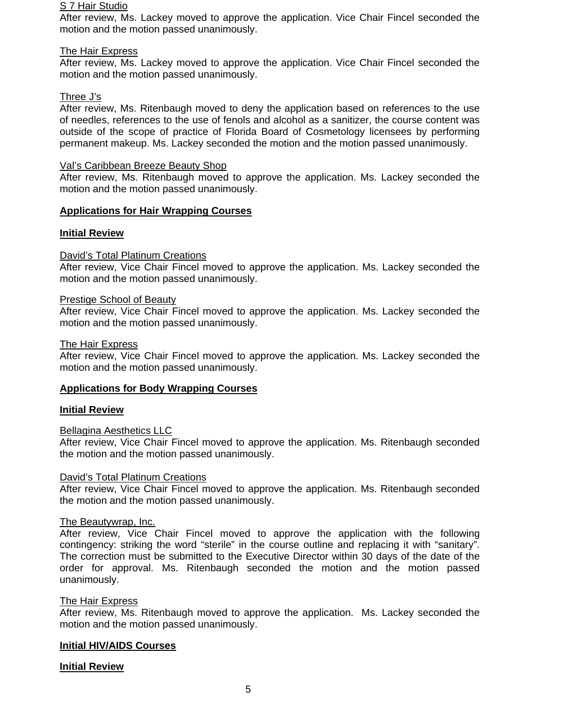#### S 7 Hair Studio

After review, Ms. Lackey moved to approve the application. Vice Chair Fincel seconded the motion and the motion passed unanimously.

## The Hair Express

After review, Ms. Lackey moved to approve the application. Vice Chair Fincel seconded the motion and the motion passed unanimously.

# Three J's

After review, Ms. Ritenbaugh moved to deny the application based on references to the use of needles, references to the use of fenols and alcohol as a sanitizer, the course content was outside of the scope of practice of Florida Board of Cosmetology licensees by performing permanent makeup. Ms. Lackey seconded the motion and the motion passed unanimously.

## Val's Caribbean Breeze Beauty Shop

After review, Ms. Ritenbaugh moved to approve the application. Ms. Lackey seconded the motion and the motion passed unanimously.

# **Applications for Hair Wrapping Courses**

# **Initial Review**

# David's Total Platinum Creations

After review, Vice Chair Fincel moved to approve the application. Ms. Lackey seconded the motion and the motion passed unanimously.

#### Prestige School of Beauty

After review, Vice Chair Fincel moved to approve the application. Ms. Lackey seconded the motion and the motion passed unanimously.

#### The Hair Express

After review, Vice Chair Fincel moved to approve the application. Ms. Lackey seconded the motion and the motion passed unanimously.

# **Applications for Body Wrapping Courses**

#### **Initial Review**

#### Bellagina Aesthetics LLC

After review, Vice Chair Fincel moved to approve the application. Ms. Ritenbaugh seconded the motion and the motion passed unanimously.

#### David's Total Platinum Creations

After review, Vice Chair Fincel moved to approve the application. Ms. Ritenbaugh seconded the motion and the motion passed unanimously.

#### The Beautywrap, Inc.

After review, Vice Chair Fincel moved to approve the application with the following contingency: striking the word "sterile" in the course outline and replacing it with "sanitary". The correction must be submitted to the Executive Director within 30 days of the date of the order for approval. Ms. Ritenbaugh seconded the motion and the motion passed unanimously.

#### The Hair Express

After review, Ms. Ritenbaugh moved to approve the application. Ms. Lackey seconded the motion and the motion passed unanimously.

#### **Initial HIV/AIDS Courses**

# **Initial Review**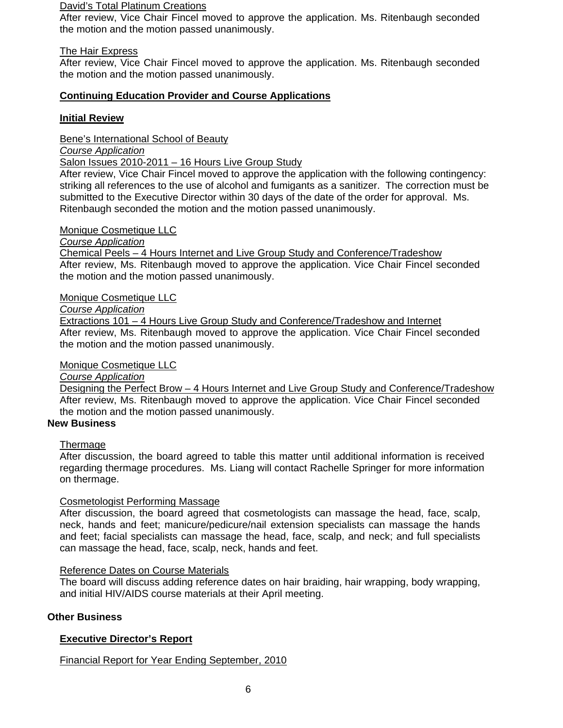#### David's Total Platinum Creations

After review, Vice Chair Fincel moved to approve the application. Ms. Ritenbaugh seconded the motion and the motion passed unanimously.

#### The Hair Express

After review, Vice Chair Fincel moved to approve the application. Ms. Ritenbaugh seconded the motion and the motion passed unanimously.

# **Continuing Education Provider and Course Applications**

# **Initial Review**

Bene's International School of Beauty

*Course Application*

Salon Issues 2010-2011 – 16 Hours Live Group Study

After review, Vice Chair Fincel moved to approve the application with the following contingency: striking all references to the use of alcohol and fumigants as a sanitizer. The correction must be submitted to the Executive Director within 30 days of the date of the order for approval. Ms. Ritenbaugh seconded the motion and the motion passed unanimously.

#### Monique Cosmetique LLC

*Course Application* 

Chemical Peels – 4 Hours Internet and Live Group Study and Conference/Tradeshow After review, Ms. Ritenbaugh moved to approve the application. Vice Chair Fincel seconded the motion and the motion passed unanimously.

#### Monique Cosmetique LLC

*Course Application*

Extractions 101 – 4 Hours Live Group Study and Conference/Tradeshow and Internet After review, Ms. Ritenbaugh moved to approve the application. Vice Chair Fincel seconded the motion and the motion passed unanimously.

## Monique Cosmetique LLC

*Course Application* 

Designing the Perfect Brow - 4 Hours Internet and Live Group Study and Conference/Tradeshow After review, Ms. Ritenbaugh moved to approve the application. Vice Chair Fincel seconded the motion and the motion passed unanimously.

# **New Business**

#### Thermage

After discussion, the board agreed to table this matter until additional information is received regarding thermage procedures. Ms. Liang will contact Rachelle Springer for more information on thermage.

#### Cosmetologist Performing Massage

After discussion, the board agreed that cosmetologists can massage the head, face, scalp, neck, hands and feet; manicure/pedicure/nail extension specialists can massage the hands and feet; facial specialists can massage the head, face, scalp, and neck; and full specialists can massage the head, face, scalp, neck, hands and feet.

#### Reference Dates on Course Materials

The board will discuss adding reference dates on hair braiding, hair wrapping, body wrapping, and initial HIV/AIDS course materials at their April meeting.

#### **Other Business**

# **Executive Director's Report**

Financial Report for Year Ending September, 2010